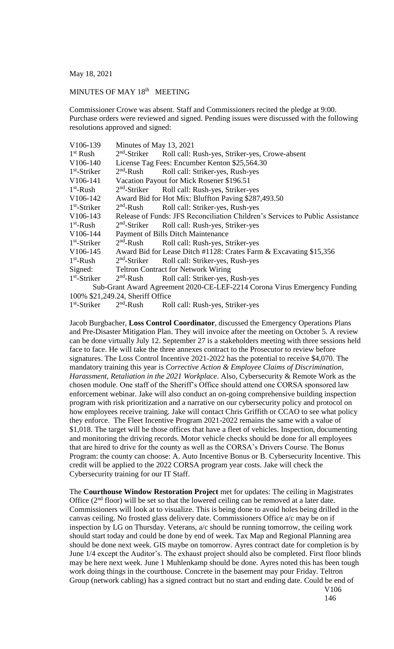May 18, 2021

## MINUTES OF MAY 18<sup>th</sup> MEETING

Commissioner Crowe was absent. Staff and Commissioners recited the pledge at 9:00. Purchase orders were reviewed and signed. Pending issues were discussed with the following resolutions approved and signed:

| Minutes of May 13, 2021                                                       |                                                                    |  |
|-------------------------------------------------------------------------------|--------------------------------------------------------------------|--|
| $2nd$ -Striker                                                                | Roll call: Rush-yes, Striker-yes, Crowe-absent                     |  |
| License Tag Fees: Encumber Kenton \$25,564.30                                 |                                                                    |  |
| $2nd$ -Rush                                                                   | Roll call: Striker-yes, Rush-yes                                   |  |
| Vacation Payout for Mick Rosener \$196.51                                     |                                                                    |  |
| $2nd$ -Striker                                                                | Roll call: Rush-yes, Striker-yes                                   |  |
| Award Bid for Hot Mix: Bluffton Paving \$287,493.50                           |                                                                    |  |
| $2nd$ -Rush                                                                   | Roll call: Striker-yes, Rush-yes                                   |  |
| Release of Funds: JFS Reconciliation Children's Services to Public Assistance |                                                                    |  |
|                                                                               | 2 <sup>nd</sup> -Striker Roll call: Rush-yes, Striker-yes          |  |
| Payment of Bills Ditch Maintenance                                            |                                                                    |  |
| $2nd$ -Rush                                                                   | Roll call: Rush-yes, Striker-yes                                   |  |
|                                                                               | Award Bid for Lease Ditch #1128: Crates Farm & Excavating \$15,356 |  |
| $2nd$ -Striker                                                                | Roll call: Striker-yes, Rush-yes                                   |  |
| Signed:<br><b>Teltron Contract for Network Wiring</b>                         |                                                                    |  |
| $2nd$ -Rush                                                                   | Roll call: Striker-yes, Rush-yes                                   |  |
| Sub-Grant Award Agreement 2020-CE-LEF-2214 Corona Virus Emergency Funding     |                                                                    |  |
| 100% \$21,249.24, Sheriff Office                                              |                                                                    |  |
|                                                                               | Roll call: Rush-yes, Striker-yes                                   |  |
|                                                                               | $2nd$ -Rush                                                        |  |

Jacob Burgbacher, **Loss Control Coordinator**, discussed the Emergency Operations Plans and Pre-Disaster Mitigation Plan. They will invoice after the meeting on October 5. A review can be done virtually July 12. September 27 is a stakeholders meeting with three sessions held face to face. He will take the three annexes contract to the Prosecutor to review before signatures. The Loss Control Incentive 2021-2022 has the potential to receive \$4,070. The mandatory training this year is *Corrective Action & Employee Claims of Discrimination, Harassment, Retaliation in the 2021 Workplace*. Also, Cybersecurity & Remote Work as the chosen module. One staff of the Sheriff's Office should attend one CORSA sponsored law enforcement webinar. Jake will also conduct an on-going comprehensive building inspection program with risk prioritization and a narrative on our cybersecurity policy and protocol on how employees receive training. Jake will contact Chris Griffith or CCAO to see what policy they enforce. The Fleet Incentive Program 2021-2022 remains the same with a value of \$1,018. The target will be those offices that have a fleet of vehicles. Inspection, documenting and monitoring the driving records. Motor vehicle checks should be done for all employees that are hired to drive for the county as well as the CORSA's Drivers Course. The Bonus Program: the county can choose: A. Auto Incentive Bonus or B. Cybersecurity Incentive. This credit will be applied to the 2022 CORSA program year costs. Jake will check the Cybersecurity training for our IT Staff.

The **Courthouse Window Restoration Project** met for updates: The ceiling in Magistrates Office  $(2<sup>nd</sup>$  floor) will be set so that the lowered ceiling can be removed at a later date. Commissioners will look at to visualize. This is being done to avoid holes being drilled in the canvas ceiling. No frosted glass delivery date. Commissioners Office a/c may be on if inspection by LG on Thursday. Veterans, a/c should be running tomorrow, the ceiling work should start today and could be done by end of week. Tax Map and Regional Planning area should be done next week. GIS maybe on tomorrow. Ayres contract date for completion is by June 1/4 except the Auditor's. The exhaust project should also be completed. First floor blinds may be here next week. June 1 Muhlenkamp should be done. Ayres noted this has been tough work doing things in the courthouse. Concrete in the basement may pour Friday. Teltron Group (network cabling) has a signed contract but no start and ending date. Could be end of V106

146